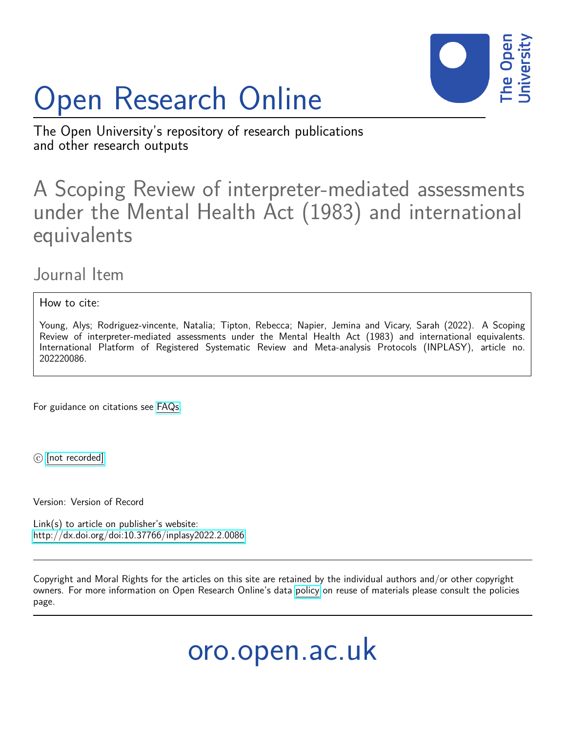

# Open Research Online

The Open University's repository of research publications and other research outputs

### A Scoping Review of interpreter-mediated assessments under the Mental Health Act (1983) and international equivalents

### Journal Item

How to cite:

Young, Alys; Rodriguez-vincente, Natalia; Tipton, Rebecca; Napier, Jemina and Vicary, Sarah (2022). A Scoping Review of interpreter-mediated assessments under the Mental Health Act (1983) and international equivalents. International Platform of Registered Systematic Review and Meta-analysis Protocols (INPLASY), article no. 202220086.

For guidance on citations see [FAQs.](http://oro.open.ac.uk/help/helpfaq.html)

c [\[not recorded\]](http://oro.open.ac.uk/help/helpfaq.html#Unrecorded_information_on_coversheet)

Version: Version of Record

Link(s) to article on publisher's website: <http://dx.doi.org/doi:10.37766/inplasy2022.2.0086>

Copyright and Moral Rights for the articles on this site are retained by the individual authors and/or other copyright owners. For more information on Open Research Online's data [policy](http://oro.open.ac.uk/policies.html) on reuse of materials please consult the policies page.

## oro.open.ac.uk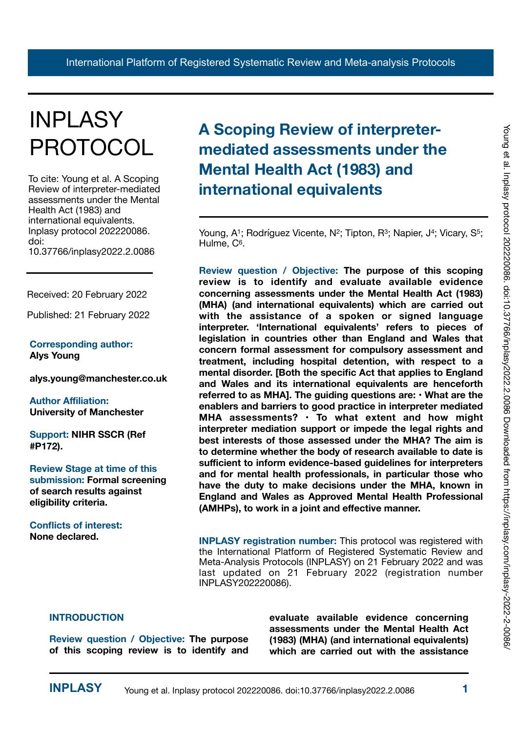# INPLASY PROTOCOL

To cite: Young et al. A Scoping Review of interpreter-mediated assessments under the Mental Health Act (1983) and international equivalents. Inplasy protocol 202220086. doi: 10.37766/inplasy2022.2.0086

Received: 20 February 2022

Published: 21 February 2022

### **Corresponding author: Alys Young**

**alys.young@manchester.co.uk**

**Author Affiliation: University of Manchester** 

**Support: NIHR SSCR (Ref #P172).** 

**Review Stage at time of this submission: Formal screening of search results against eligibility criteria.** 

**Conflicts of interest: None declared.**

### **A Scoping Review of interpretermediated assessments under the Mental Health Act (1983) and international equivalents**

Young, A<sup>1</sup>; Rodríguez Vicente, N<sup>2</sup>; Tipton, R<sup>3</sup>; Napier, J<sup>4</sup>; Vicary, S<sup>5</sup>; Hulme, C<sup>6</sup>.

**Review question / Objective: The purpose of this scoping review is to identify and evaluate available evidence concerning assessments under the Mental Health Act (1983) (MHA) (and international equivalents) which are carried out with the assistance of a spoken or signed language interpreter. 'International equivalents' refers to pieces of legislation in countries other than England and Wales that concern formal assessment for compulsory assessment and treatment, including hospital detention, with respect to a mental disorder. [Both the specific Act that applies to England and Wales and its international equivalents are henceforth referred to as MHA]. The guiding questions are: • What are the enablers and barriers to good practice in interpreter mediated MHA assessments? • To what extent and how might interpreter mediation support or impede the legal rights and best interests of those assessed under the MHA? The aim is to determine whether the body of research available to date is sufficient to inform evidence-based guidelines for interpreters and for mental health professionals, in particular those who have the duty to make decisions under the MHA, known in England and Wales as Approved Mental Health Professional (AMHPs), to work in a joint and effective manner.** 

**INPLASY registration number:** This protocol was registered with the International Platform of Registered Systematic Review and Meta-Analysis Protocols (INPLASY) on 21 February 2022 and was last updated on 21 February 2022 (registration number INPLASY202220086).

### **INTRODUCTION**

**Review question / Objective: The purpose of this scoping review is to identify and**  **evaluate available evidence concerning assessments under the Mental Health Act (1983) (MHA) (and international equivalents) which are carried out with the assistance**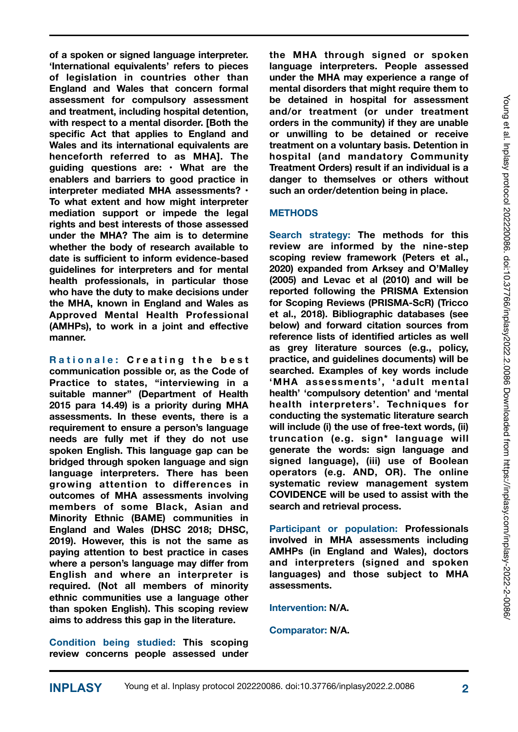**of a spoken or signed language interpreter. 'International equivalents' refers to pieces of legislation in countries other than England and Wales that concern formal assessment for compulsory assessment and treatment, including hospital detention, with respect to a mental disorder. [Both the specific Act that applies to England and Wales and its international equivalents are henceforth referred to as MHA]. The guiding questions are: • What are the enablers and barriers to good practice in interpreter mediated MHA assessments? • To what extent and how might interpreter mediation support or impede the legal rights and best interests of those assessed under the MHA? The aim is to determine whether the body of research available to date is sufficient to inform evidence-based guidelines for interpreters and for mental health professionals, in particular those who have the duty to make decisions under the MHA, known in England and Wales as Approved Mental Health Professional (AMHPs), to work in a joint and effective manner.** 

**Rationale: Creating the best communication possible or, as the Code of Practice to states, "interviewing in a suitable manner" (Department of Health 2015 para 14.49) is a priority during MHA assessments. In these events, there is a requirement to ensure a person's language needs are fully met if they do not use spoken English. This language gap can be bridged through spoken language and sign language interpreters. There has been growing attention to differences in outcomes of MHA assessments involving members of some Black, Asian and Minority Ethnic (BAME) communities in England and Wales (DHSC 2018; DHSC, 2019). However, this is not the same as paying attention to best practice in cases where a person's language may differ from English and where an interpreter is required. (Not all members of minority ethnic communities use a language other than spoken English). This scoping review aims to address this gap in the literature.** 

**Condition being studied: This scoping review concerns people assessed under**  **the MHA through signed or spoken language interpreters. People assessed under the MHA may experience a range of mental disorders that might require them to be detained in hospital for assessment and/or treatment (or under treatment orders in the community) if they are unable or unwilling to be detained or receive treatment on a voluntary basis. Detention in hospital (and mandatory Community Treatment Orders) result if an individual is a danger to themselves or others without such an order/detention being in place.** 

### **METHODS**

**Search strategy: The methods for this review are informed by the nine-step scoping review framework (Peters et al., 2020) expanded from Arksey and O'Malley (2005) and Levac et al (2010) and will be reported following the PRISMA Extension for Scoping Reviews (PRISMA-ScR) (Tricco et al., 2018). Bibliographic databases (see below) and forward citation sources from reference lists of identified articles as well as grey literature sources (e.g., policy, practice, and guidelines documents) will be searched. Examples of key words include 'MHA assessments', 'adult mental health' 'compulsory detention' and 'mental health interpreters'. Techniques for conducting the systematic literature search will include (i) the use of free-text words, (ii) truncation (e.g. sign\* language will generate the words: sign language and signed language), (iii) use of Boolean operators (e.g. AND, OR). The online systematic review management system COVIDENCE will be used to assist with the search and retrieval process.**

**Participant or population: Professionals involved in MHA assessments including AMHPs (in England and Wales), doctors and interpreters (signed and spoken languages) and those subject to MHA assessments.**

**Intervention: N/A.**

**Comparator: N/A.**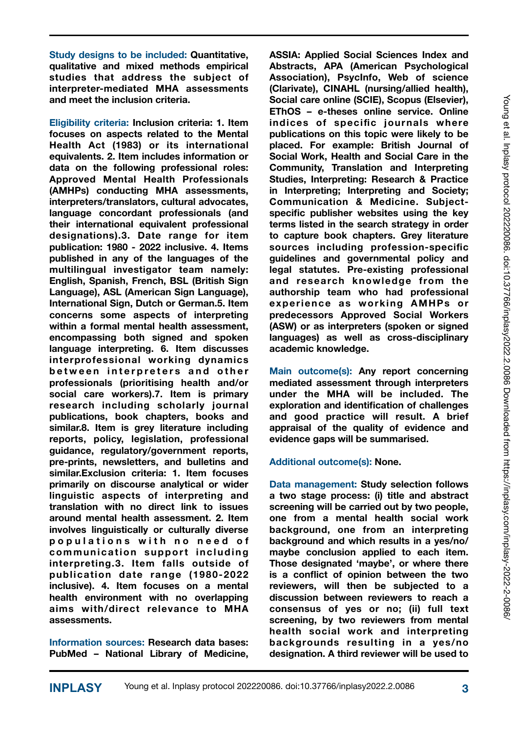**Study designs to be included: Quantitative, qualitative and mixed methods empirical studies that address the subject of interpreter-mediated MHA assessments and meet the inclusion criteria.** 

**Eligibility criteria: Inclusion criteria: 1. Item focuses on aspects related to the Mental Health Act (1983) or its international equivalents. 2. Item includes information or data on the following professional roles: Approved Mental Health Professionals (AMHPs) conducting MHA assessments, interpreters/translators, cultural advocates, language concordant professionals (and their international equivalent professional designations).3. Date range for item publication: 1980 - 2022 inclusive. 4. Items published in any of the languages of the multilingual investigator team namely: English, Spanish, French, BSL (British Sign Language), ASL (American Sign Language), International Sign, Dutch or German.5. Item concerns some aspects of interpreting within a formal mental health assessment, encompassing both signed and spoken language interpreting. 6. Item discusses interprofessional working dynamics**  between interpreters and other **professionals (prioritising health and/or social care workers).7. Item is primary research including scholarly journal publications, book chapters, books and similar.8. Item is grey literature including reports, policy, legislation, professional guidance, regulatory/government reports, pre-prints, newsletters, and bulletins and similar.Exclusion criteria: 1. Item focuses primarily on discourse analytical or wider linguistic aspects of interpreting and translation with no direct link to issues around mental health assessment. 2. Item involves linguistically or culturally diverse p o p u l a t i o n s w i t h n o n e e d o f**  communication support including **interpreting.3. Item falls outside of publication date range (1980-2022 inclusive). 4. Item focuses on a mental health environment with no overlapping aims with/direct relevance to MHA assessments.** 

**Information sources: Research data bases: PubMed – National Library of Medicine,**  **ASSIA: Applied Social Sciences Index and Abstracts, APA (American Psychological Association), PsycInfo, Web of science (Clarivate), CINAHL (nursing/allied health), Social care online (SCIE), Scopus (Elsevier), EThOS – e-theses online service. Online indices of specific journals where publications on this topic were likely to be placed. For example: British Journal of Social Work, Health and Social Care in the Community, Translation and Interpreting Studies, Interpreting: Research & Practice in Interpreting; Interpreting and Society; Communication & Medicine. Subjectspecific publisher websites using the key terms listed in the search strategy in order to capture book chapters. Grey literature sources including profession-specific guidelines and governmental policy and legal statutes. Pre-existing professional and research knowledge from the authorship team who had professional experience as working AMHPs or predecessors Approved Social Workers (ASW) or as interpreters (spoken or signed languages) as well as cross-disciplinary academic knowledge.** 

**Main outcome(s): Any report concerning mediated assessment through interpreters under the MHA will be included. The exploration and identification of challenges and good practice will result. A brief appraisal of the quality of evidence and evidence gaps will be summarised.** 

**Additional outcome(s): None.** 

**Data management: Study selection follows a two stage process: (i) title and abstract screening will be carried out by two people, one from a mental health social work background, one from an interpreting background and which results in a yes/no/ maybe conclusion applied to each item. Those designated 'maybe', or where there is a conflict of opinion between the two reviewers, will then be subjected to a discussion between reviewers to reach a consensus of yes or no; (ii) full text screening, by two reviewers from mental health social work and interpreting backgrounds resulting in a yes/no designation. A third reviewer will be used to**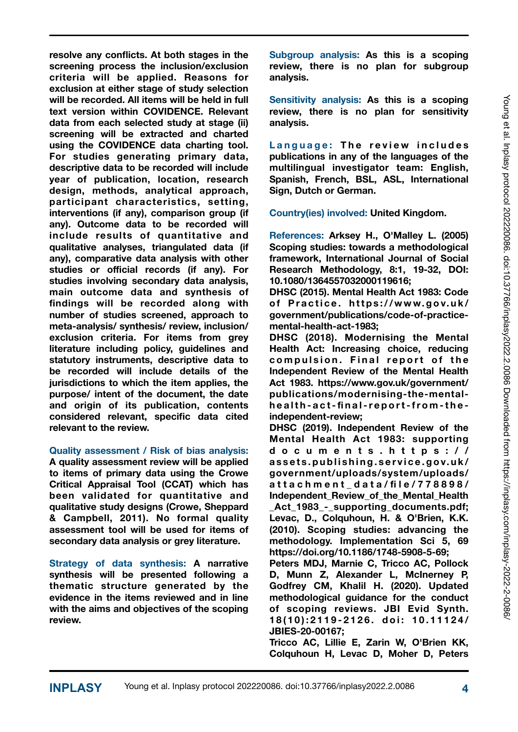**resolve any conflicts. At both stages in the screening process the inclusion/exclusion criteria will be applied. Reasons for exclusion at either stage of study selection will be recorded. All items will be held in full text version within COVIDENCE. Relevant data from each selected study at stage (ii) screening will be extracted and charted using the COVIDENCE data charting tool. For studies generating primary data, descriptive data to be recorded will include year of publication, location, research design, methods, analytical approach, participant characteristics, setting, interventions (if any), comparison group (if any). Outcome data to be recorded will include results of quantitative and qualitative analyses, triangulated data (if any), comparative data analysis with other studies or official records (if any). For studies involving secondary data analysis, main outcome data and synthesis of findings will be recorded along with number of studies screened, approach to meta-analysis/ synthesis/ review, inclusion/ exclusion criteria. For items from grey literature including policy, guidelines and statutory instruments, descriptive data to be recorded will include details of the jurisdictions to which the item applies, the purpose/ intent of the document, the date and origin of its publication, contents considered relevant, specific data cited relevant to the review.** 

### **Quality assessment / Risk of bias analysis:**

**A quality assessment review will be applied to items of primary data using the Crowe Critical Appraisal Tool (CCAT) which has been validated for quantitative and qualitative study designs (Crowe, Sheppard & Campbell, 2011). No formal quality assessment tool will be used for items of secondary data analysis or grey literature.** 

**Strategy of data synthesis: A narrative synthesis will be presented following a thematic structure generated by the evidence in the items reviewed and in line with the aims and objectives of the scoping review.** 

**Subgroup analysis: As this is a scoping review, there is no plan for subgroup analysis.** 

**Sensitivity analysis: As this is a scoping review, there is no plan for sensitivity analysis.** 

Language: The review includes **publications in any of the languages of the multilingual investigator team: English, Spanish, French, BSL, ASL, International Sign, Dutch or German.**

**Country(ies) involved: United Kingdom.** 

**References: Arksey H., O'Malley L. (2005) Scoping studies: towards a methodological framework, International Journal of Social Research Methodology, 8:1, 19-32, DOI: 10.1080/1364557032000119616;** 

**DHSC (2015). Mental Health Act 1983: Code**  of Practice. https://www.gov.uk/ **[government/publications/code-of-practice](https://www.gov.uk/government/publications/code-of-practice-mental-health-act-1983)[mental-health-act-1983](https://www.gov.uk/government/publications/code-of-practice-mental-health-act-1983);** 

**DHSC (2018). Modernising the Mental Health Act: Increasing choice, reducing**  compulsion. Final report of the **Independent Review of the Mental Health Act 1983. [https://www.gov.uk/government/](https://www.gov.uk/government/publications/modernising-the-mental-health-act-final-report-from-the-independent-review) [publications/modernising-the-mental](https://www.gov.uk/government/publications/modernising-the-mental-health-act-final-report-from-the-independent-review)health-act- fi nal-report-from-the[independent-review;](https://www.gov.uk/government/publications/modernising-the-mental-health-act-final-report-from-the-independent-review)** 

**DHSC (2019). Independent Review of the Mental Health Act 1983: supporting documents.[https://](https://assets.publishing.service.gov.uk/government/uploads/system/uploads/attachment_data/file/778898/Independent_Review_of_the_Mental_Health_Act_1983_-_supporting_documents.pdf) assets.publishing.service.gov.uk/ [government/uploads/system/uploads/](https://assets.publishing.service.gov.uk/government/uploads/system/uploads/attachment_data/file/778898/Independent_Review_of_the_Mental_Health_Act_1983_-_supporting_documents.pdf) attachment\_data/ fi le/778898/ Independent\_Review\_of\_the\_Mental\_Health [\\_Act\\_1983\\_-\\_supporting\\_documents.pdf](https://assets.publishing.service.gov.uk/government/uploads/system/uploads/attachment_data/file/778898/Independent_Review_of_the_Mental_Health_Act_1983_-_supporting_documents.pdf); Levac, D., Colquhoun, H. & O'Brien, K.K. (2010). Scoping studies: advancing the methodology. Implementation Sci 5, 69 <https://doi.org/10.1186/1748-5908-5-69>;** 

**Peters MDJ, Marnie C, Tricco AC, Pollock D, Munn Z, Alexander L, McInerney P, Godfrey CM, Khalil H. (2020). Updated methodological guidance for the conduct of scoping reviews. JBI Evid Synth. 1 8 ( 1 0 ) : 2 1 1 9 - 2 1 2 6 . d o i : 1 0 . 1 1 1 2 4 / JBIES-20-00167;** 

**Tricco AC, Lillie E, Zarin W, O'Brien KK, Colquhoun H, Levac D, Moher D, Peters**